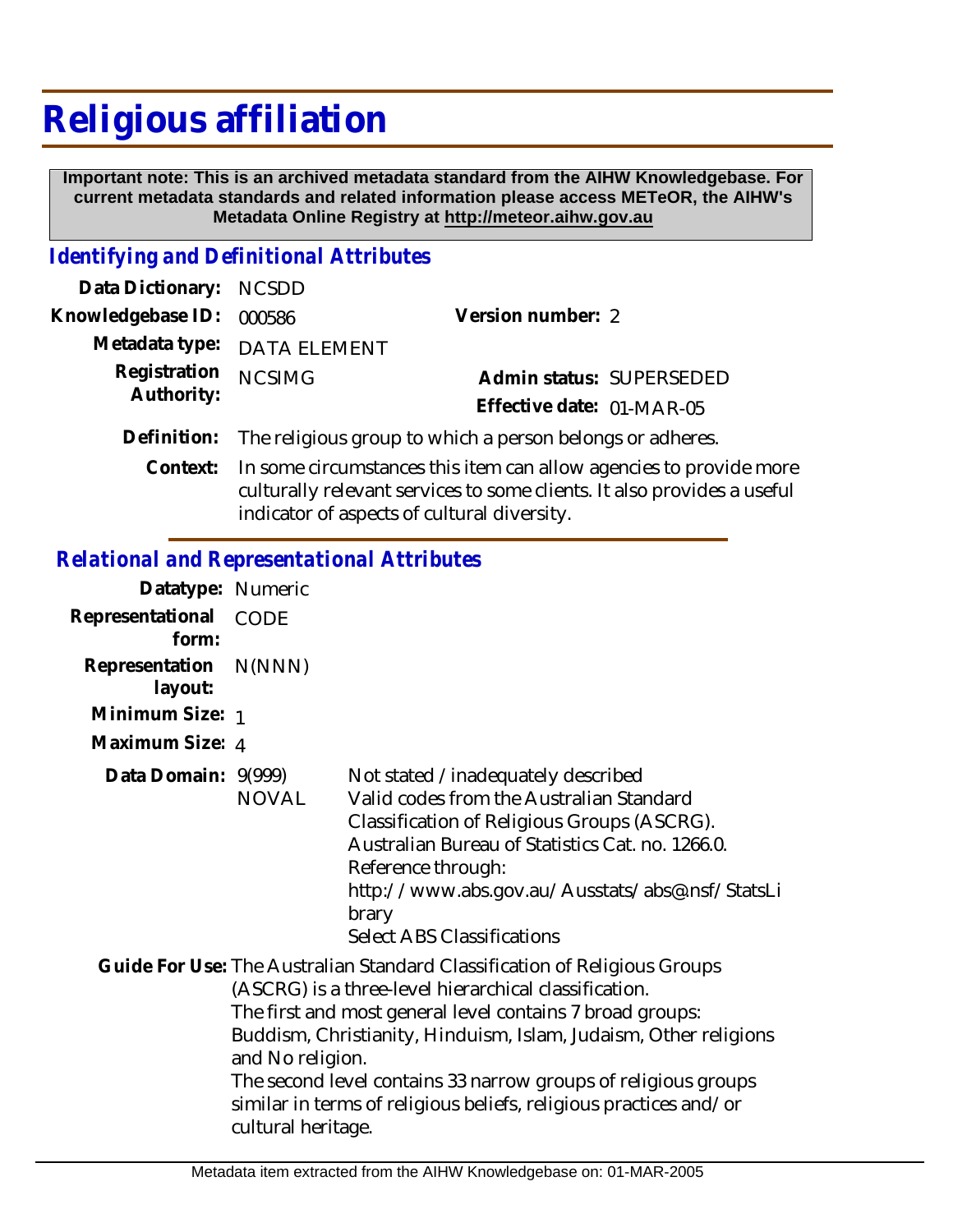## **Religious affiliation**

 **Important note: This is an archived metadata standard from the AIHW Knowledgebase. For current metadata standards and related information please access METeOR, the AIHW's Metadata Online Registry at http://meteor.aihw.gov.au**

## *Identifying and Definitional Attributes*

| Data Dictionary: NCSDD     |                                                                       |                           |                          |
|----------------------------|-----------------------------------------------------------------------|---------------------------|--------------------------|
| Knowledgebase ID: 000586   |                                                                       | Version number: 2         |                          |
|                            | Metadata type: DATA ELEMENT                                           |                           |                          |
| Registration<br>Authority: | <b>NCSIMG</b>                                                         |                           | Admin status: SUPERSEDED |
|                            |                                                                       | Effective date: 01-MAR-05 |                          |
|                            | Definition: The religious group to which a person belongs or adheres. |                           |                          |

Context: In some circumstances this item can allow agencies to provide more culturally relevant services to some clients. It also provides a useful indicator of aspects of cultural diversity.

## *Relational and Representational Attributes*

| Datatype: Numeric         |                                        |                                                                                                                                                                                                                                                                                                                                                                                                            |
|---------------------------|----------------------------------------|------------------------------------------------------------------------------------------------------------------------------------------------------------------------------------------------------------------------------------------------------------------------------------------------------------------------------------------------------------------------------------------------------------|
| Representational<br>form: | CODE                                   |                                                                                                                                                                                                                                                                                                                                                                                                            |
| Representation<br>layout: | N(NNN)                                 |                                                                                                                                                                                                                                                                                                                                                                                                            |
| Minimum Size: 1           |                                        |                                                                                                                                                                                                                                                                                                                                                                                                            |
| Maximum Size: 4           |                                        |                                                                                                                                                                                                                                                                                                                                                                                                            |
| Data Domain: 9(999)       | <b>NOVAL</b>                           | Not stated /inadequately described<br>Valid codes from the Australian Standard<br>Classification of Religious Groups (ASCRG).<br>Australian Bureau of Statistics Cat. no. 1266.0.<br>Reference through:<br>http://www.abs.gov.au/Ausstats/abs@.nsf/StatsLi<br>brary<br><b>Select ABS Classifications</b>                                                                                                   |
|                           | and No religion.<br>cultural heritage. | Guide For Use: The Australian Standard Classification of Religious Groups<br>(ASCRG) is a three-level hierarchical classification.<br>The first and most general level contains 7 broad groups:<br>Buddism, Christianity, Hinduism, Islam, Judaism, Other religions<br>The second level contains 33 narrow groups of religious groups<br>similar in terms of religious beliefs, religious practices and/or |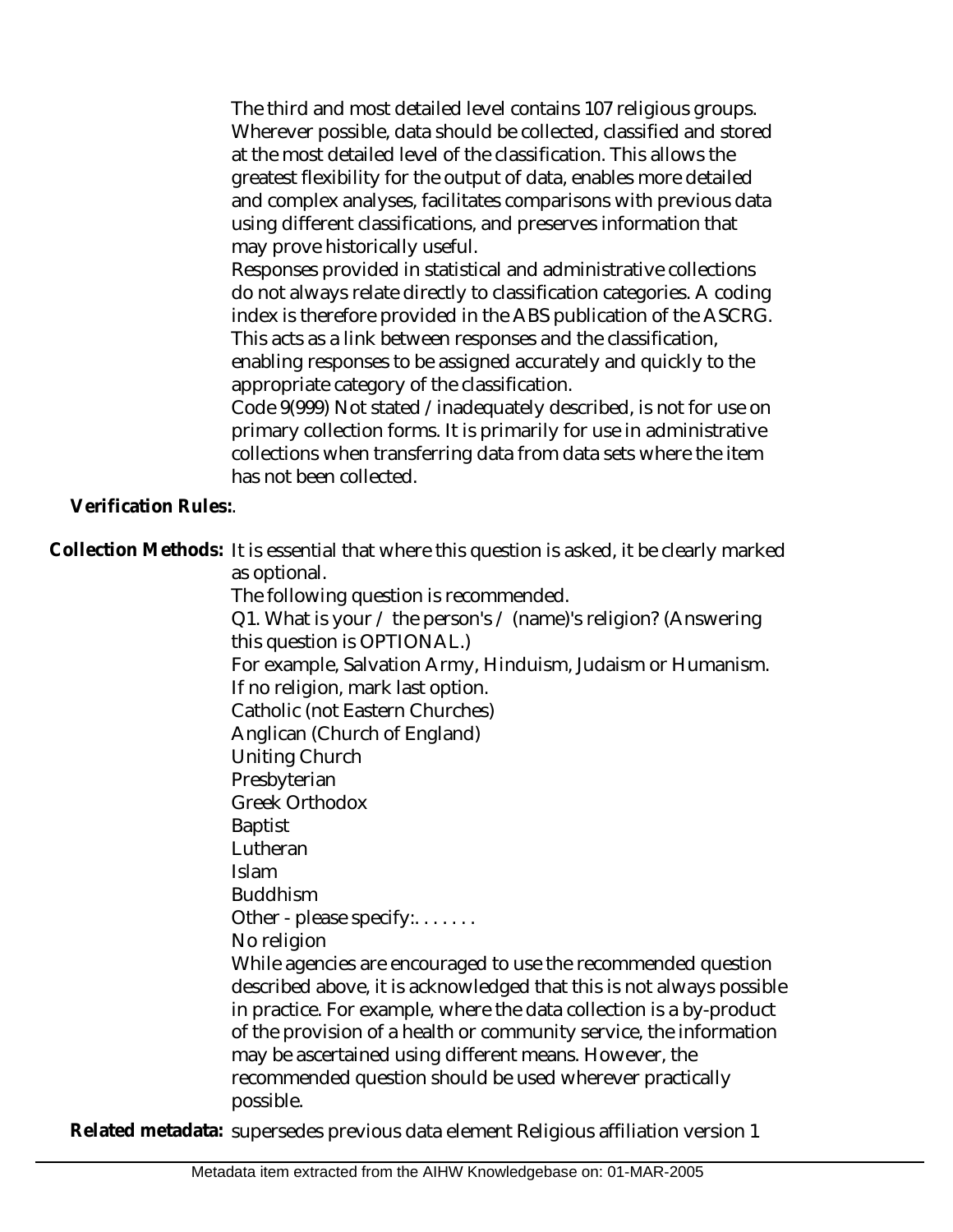The third and most detailed level contains 107 religious groups. Wherever possible, data should be collected, classified and stored at the most detailed level of the classification. This allows the greatest flexibility for the output of data, enables more detailed and complex analyses, facilitates comparisons with previous data using different classifications, and preserves information that may prove historically useful.

Responses provided in statistical and administrative collections do not always relate directly to classification categories. A coding index is therefore provided in the ABS publication of the ASCRG. This acts as a link between responses and the classification, enabling responses to be assigned accurately and quickly to the appropriate category of the classification.

Code 9(999) Not stated /inadequately described, is not for use on primary collection forms. It is primarily for use in administrative collections when transferring data from data sets where the item has not been collected.

**Verification Rules:**.

Collection Methods: It is essential that where this question is asked, it be clearly marked as optional.

The following question is recommended.

Q1. What is your / the person's / (name)'s religion? (Answering this question is OPTIONAL.)

For example, Salvation Army, Hinduism, Judaism or Humanism. If no religion, mark last option.

Catholic (not Eastern Churches)

Anglican (Church of England)

Uniting Church

Presbyterian

Greek Orthodox

Baptist

**Lutheran** Islam

Buddhism

Other - please specify:.......

No religion

While agencies are encouraged to use the recommended question described above, it is acknowledged that this is not always possible in practice. For example, where the data collection is a by-product of the provision of a health or community service, the information may be ascertained using different means. However, the recommended question should be used wherever practically possible.

**Related metadata:** supersedes previous data element Religious affiliation version 1